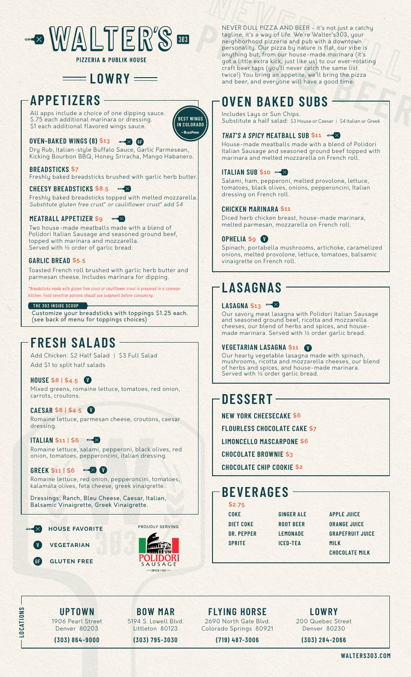

# $=$ **LOWRY**

# **APPETIZERS**

All apps include a choice of one dipping sauce. \$.75 each additional marinara or dressing. \$1 each additional flavored wings sauce.



# **OVEN-BAKED WINGS (8) \$13 Biggs**

Dry Rub, Italian-style Buffalo Sauce, Garlic Parmesean, Kicking Bourbon BBQ, Honey Sriracha, Mango Habanero.

**BREADSTICKS \$7** Freshly baked breadsticks brushed with garlic herb butter.

**CHEESY BREADSTICKS \$8.5**  $\rightarrow \infty$ Freshly baked breadsticks topped with melted mozzarella. *Substitute gluten free crust*\* *or cauliflower crust*\* *add \$4*

## **MEATBALL APPETIZER \$9**

Two house-made meatballs made with a blend of Polidori Italian Sausage and seasoned ground beef, topped with marinara and mozzarella. Served with ½ order of garlic bread.

### **GARLIC BREAD \$5.5**

Toasted French roll brushed with garlic herb butter and parmesan cheese. Includes marinara for dipping.

*\*Breadsticks made with gluten free crust or cauliflower crust is prepared in a common kitchen. Food sensitive patrons should use judgment before consuming.*

#### **THE 303 INSIDE SCOOP**

Customize your breadsticks with toppings \$1.25 each. (see back of menu for toppings choices)

# **FRESH SALADS**

Add Chicken: \$2 Half Salad | \$3 Full Salad Add \$1 to split half salads

## **HOUSE \$8 | \$4.5**

Mixed greens, romaine lettuce, tomatoes, red onion, carrots, croutons.

**CAESAR \$8 | \$4.5** Romaine lettuce, parmesan cheese, croutons, caesar dressing.

**ITALIAN \$11 | \$6** Romaine lettuce, salami, pepperoni, black olives, red onion, tomatoes, pepperoncini, italian dressing.

## **GREEK \$11 | \$6**

Romaine lettuce, red onion, pepperoncini, tomatoes, kalamata olives, feta cheese, greek vinaigrette.

Dressings: Ranch, Bleu Cheese, Caesar, Italian, Balsamic Vinaigrette, Greek Vinaigrette.

#### **HOUSE FAVORITE**  $\rightarrow$

**VEGETARIAN GLUTEN FREE**

**LOCATIONS**

LOCATIONS



**PROUDLY SERVING**

NEVER DULL PIZZA AND BEER - it's not just a catchy tagline, it's a way of life. We're Walter's303, your neighborhood pizzeria and pub with a downtown personality. Our pizza by nature is flat, our vibe is anything but, from our house-made marinara (it's got a little extra kick, just like us) to our ever-rotating craft beer taps (you'll never catch the same list twice!) You bring an appetite, we'll bring the pizza and beer, and everyone will have a good time.

# **OVEN BAKED SUBS**

Includes Lays or Sun Chips. Substitute a half salad: \$3 House or Caesar | \$4 Italian or Greek

## **THAT'S A SPICY MEATBALL SUB \$11**  $\rightarrow$

House-made meatballs made with a blend of Polidori Italian Sausage and seasoned ground beef topped with marinara and melted mozzarella on French roll.

#### **ITALIAN SUB \$10 = X**

Salami, ham, pepperoni, melted provolone, lettuce, tomatoes, black olives, onions, pepperoncini, Italian dressing on French roll.

### **CHICKEN MARINARA \$11**

Diced herb chicken breast, house-made marinara, melted parmesan, mozzarella on French roll.

### **OPHELIA \$9**

Spinach, portabella mushrooms, artichoke, caramelized onions, melted provolone, lettuce, tomatoes, balsamic vinaigrette on French roll.

# **LASAGNAS**

# LASAGNA \$13<sup>=></sup>

Our savory meat lasagna with Polidori Italian Sausage and seasoned ground beef, ricotta and mozzarella cheeses, our blend of herbs and spices, and housemade marinara. Served with ½ order garlic bread.

## **VEGETARIAN LASAGNA \$11**

Our hearty vegetable lasagna made with spinach, mushrooms, ricotta and mozzarella cheeses, our blend of herbs and spices, and house-made marinara. Served with ½ order garlic bread.

# **DESSERT**

**NEW YORK CHEESECAKE \$6 FLOURLESS CHOCOLATE CAKE \$7 LIMONCELLO MASCARPONE \$6 CHOCOLATE BROWNIE \$3** 

**CHOCOLATE CHIP COOKIE \$2**

# **BEVERAGES**

**\$2.75 COKE DIET COKE DR. PEPPER SPRITE**

**GINGER ALE ROOT BEER LEMONADE ICED-TEA**

**APPLE JUICE ORANGE JUICE GRAPEFRUIT JUICE MILK CHOCOLATE MILK**

**UPTOWN** 1906 Pearl Street Denver 80203 **(303) 864-9000**

**BOW MAR** 5194 S. Lowell Blvd. Littleton 80123

**(303) 795-3030**

**FLYING HORSE** 2690 North Gate Blvd. Colorado Springs 80921

**(719) 487-3006**

**LOWRY** 200 Quebec Street Denver 80230

**(303) 284-2066**